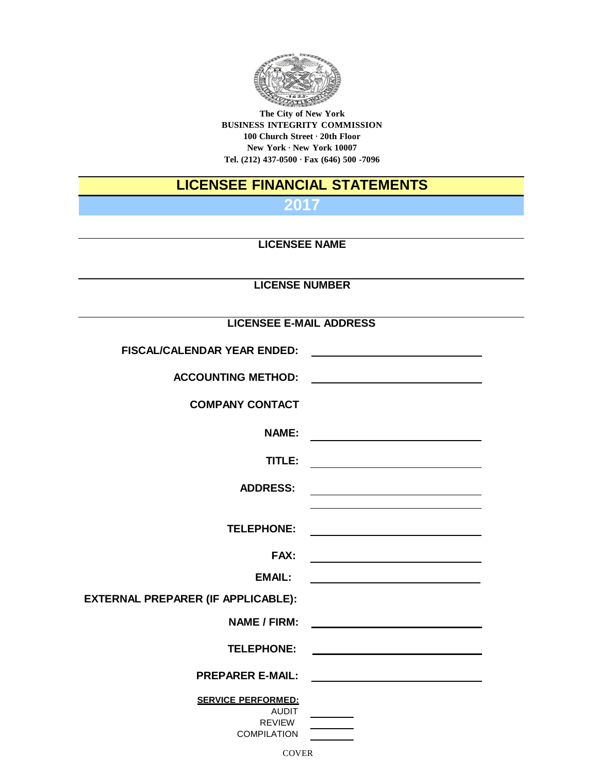

**The City of New York BUSINESS INTEGRITY COMMISSION 100 Church Street · 20th Floor New York · New York 10007 Tel. (212) 437-0500 · Fax (646) 500 -7096**

# **LICENSEE FINANCIAL STATEMENTS**

**2017**

### **LICENSEE NAME**

# **LICENSE NUMBER**

#### **LICENSEE E-MAIL ADDRESS**

|                                                                 | FISCAL/CALENDAR YEAR ENDED:        |
|-----------------------------------------------------------------|------------------------------------|
|                                                                 | <b>ACCOUNTING METHOD:</b>          |
|                                                                 | <b>COMPANY CONTACT</b>             |
|                                                                 |                                    |
|                                                                 | <b>NAME:</b>                       |
|                                                                 | TITLE:                             |
| <u> 1980 - Johann Barn, mars an t-Amerikaansk kommunister (</u> | <b>ADDRESS:</b>                    |
|                                                                 |                                    |
|                                                                 | <b>TELEPHONE:</b>                  |
| <u> 1980 - Johann Barbara, martxa alemaniar a</u>               | <b>FAX:</b>                        |
|                                                                 | <b>EMAIL:</b>                      |
|                                                                 | EXTERNAL PREPARER (IF APPLICABLE): |
|                                                                 | <b>NAME / FIRM:</b>                |
|                                                                 | <b>TELEPHONE:</b>                  |
|                                                                 | <b>PREPARER E-MAIL:</b>            |
|                                                                 | <b>SERVICE PERFORMED:</b>          |
|                                                                 | <b>AUDIT</b><br>REVIEW             |
|                                                                 | <b>COMPILATION</b>                 |
|                                                                 |                                    |

**COVER**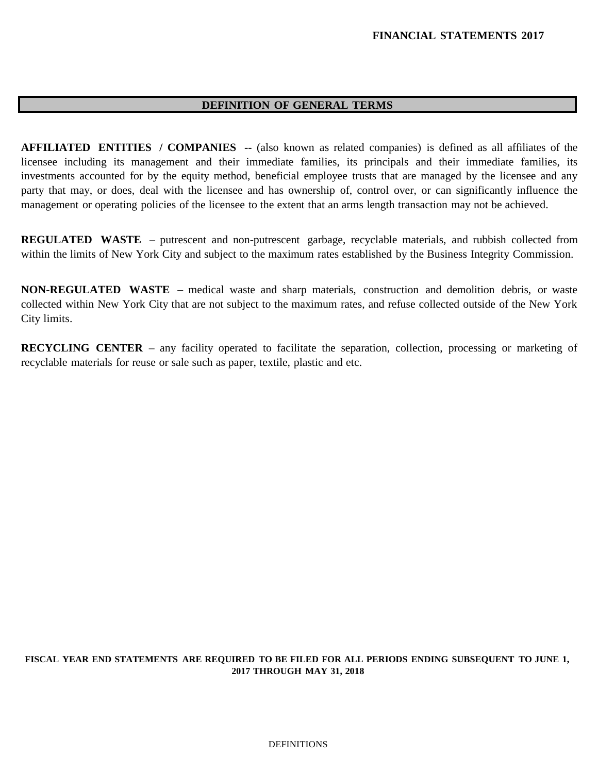#### **DEFINITION OF GENERAL TERMS**

**AFFILIATED ENTITIES / COMPANIES --** (also known as related companies) is defined as all affiliates of the licensee including its management and their immediate families, its principals and their immediate families, its investments accounted for by the equity method, beneficial employee trusts that are managed by the licensee and any party that may, or does, deal with the licensee and has ownership of, control over, or can significantly influence the management or operating policies of the licensee to the extent that an arms length transaction may not be achieved.

**REGULATED WASTE** – putrescent and non-putrescent garbage, recyclable materials, and rubbish collected from within the limits of New York City and subject to the maximum rates established by the Business Integrity Commission.

**NON-REGULATED WASTE –** medical waste and sharp materials, construction and demolition debris, or waste collected within New York City that are not subject to the maximum rates, and refuse collected outside of the New York City limits.

**RECYCLING CENTER** – any facility operated to facilitate the separation, collection, processing or marketing of recyclable materials for reuse or sale such as paper, textile, plastic and etc.

#### **FISCAL YEAR END STATEMENTS ARE REQUIRED TO BE FILED FOR ALL PERIODS ENDING SUBSEQUENT TO JUNE 1, 2017 THROUGH MAY 31, 2018**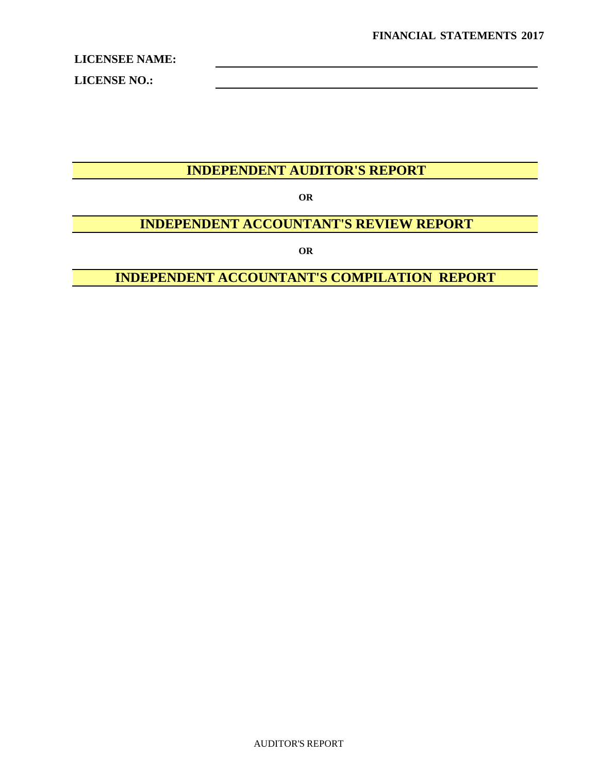**LICENSE NO.:**

# **INDEPENDENT AUDITOR'S REPORT**

**OR**

# **INDEPENDENT ACCOUNTANT'S REVIEW REPORT**

**OR**

# **INDEPENDENT ACCOUNTANT'S COMPILATION REPORT**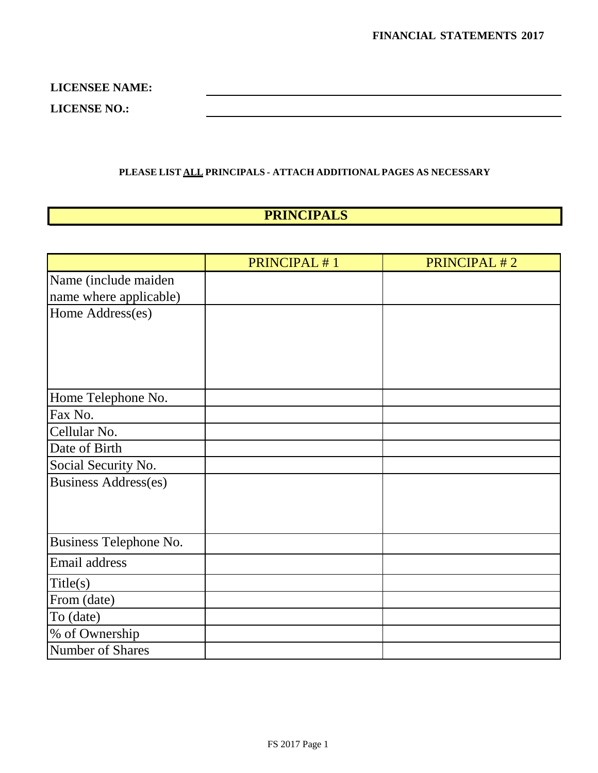**LICENSEE NAME: LICENSE NO.:**

#### **PLEASE LIST ALL PRINCIPALS - ATTACH ADDITIONAL PAGES AS NECESSARY**

# **PRINCIPALS**

|                             | PRINCIPAL #1 | PRINCIPAL #2 |
|-----------------------------|--------------|--------------|
| Name (include maiden        |              |              |
| name where applicable)      |              |              |
| Home Address(es)            |              |              |
|                             |              |              |
|                             |              |              |
|                             |              |              |
|                             |              |              |
| Home Telephone No.          |              |              |
| Fax No.                     |              |              |
| Cellular No.                |              |              |
| Date of Birth               |              |              |
| Social Security No.         |              |              |
| <b>Business Address(es)</b> |              |              |
|                             |              |              |
|                             |              |              |
| Business Telephone No.      |              |              |
| Email address               |              |              |
| Title(s)                    |              |              |
| From (date)                 |              |              |
| To (date)                   |              |              |
| % of Ownership              |              |              |
| Number of Shares            |              |              |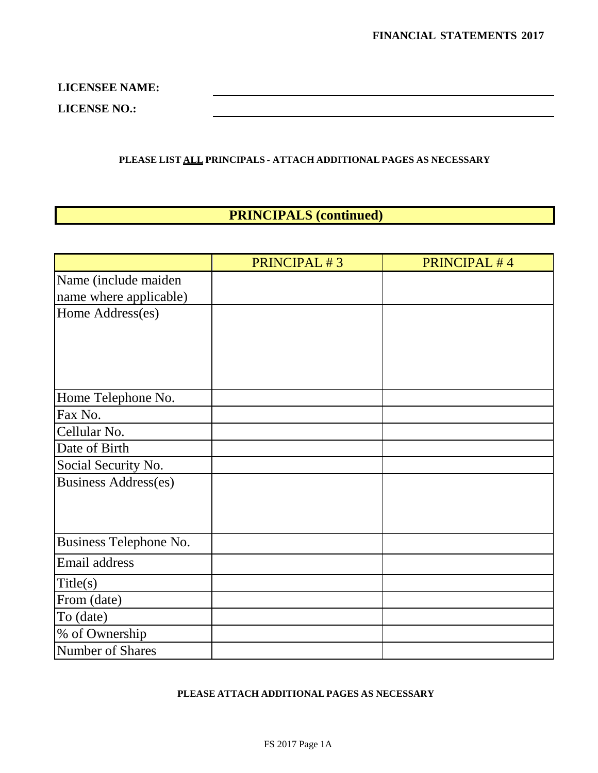**LICENSEE NAME: LICENSE NO.:**

**PLEASE LIST ALL PRINCIPALS - ATTACH ADDITIONAL PAGES AS NECESSARY**

# **PRINCIPALS (continued)**

|                             | PRINCIPAL #3 | <b>PRINCIPAL #4</b> |
|-----------------------------|--------------|---------------------|
| Name (include maiden        |              |                     |
| name where applicable)      |              |                     |
| Home Address(es)            |              |                     |
|                             |              |                     |
|                             |              |                     |
|                             |              |                     |
|                             |              |                     |
| Home Telephone No.          |              |                     |
| Fax No.                     |              |                     |
| Cellular No.                |              |                     |
| Date of Birth               |              |                     |
| Social Security No.         |              |                     |
| <b>Business Address(es)</b> |              |                     |
|                             |              |                     |
|                             |              |                     |
|                             |              |                     |
| Business Telephone No.      |              |                     |
| Email address               |              |                     |
| Title(s)                    |              |                     |
| From (date)                 |              |                     |
| To (date)                   |              |                     |
| % of Ownership              |              |                     |
| Number of Shares            |              |                     |

#### **PLEASE ATTACH ADDITIONAL PAGES AS NECESSARY**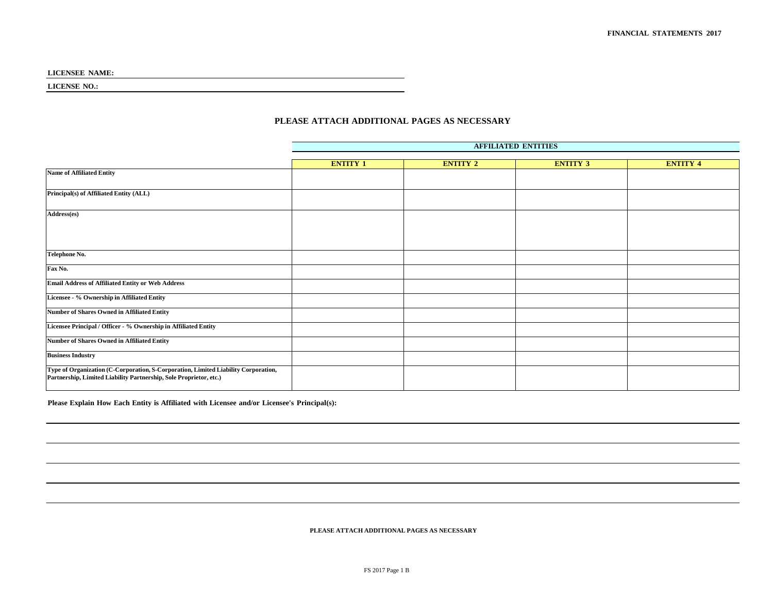**LICENSE NO.:**

#### **PLEASE ATTACH ADDITIONAL PAGES AS NECESSARY**

|                                                                                                                                                          | <b>AFFILIATED ENTITIES</b> |                 |                 |                 |
|----------------------------------------------------------------------------------------------------------------------------------------------------------|----------------------------|-----------------|-----------------|-----------------|
|                                                                                                                                                          | <b>ENTITY 1</b>            | <b>ENTITY 2</b> | <b>ENTITY 3</b> | <b>ENTITY 4</b> |
| <b>Name of Affiliated Entity</b>                                                                                                                         |                            |                 |                 |                 |
| Principal(s) of Affiliated Entity (ALL)                                                                                                                  |                            |                 |                 |                 |
|                                                                                                                                                          |                            |                 |                 |                 |
| Address(es)                                                                                                                                              |                            |                 |                 |                 |
|                                                                                                                                                          |                            |                 |                 |                 |
|                                                                                                                                                          |                            |                 |                 |                 |
| Telephone No.                                                                                                                                            |                            |                 |                 |                 |
| Fax No.                                                                                                                                                  |                            |                 |                 |                 |
| <b>Email Address of Affiliated Entity or Web Address</b>                                                                                                 |                            |                 |                 |                 |
| Licensee - % Ownership in Affiliated Entity                                                                                                              |                            |                 |                 |                 |
| <b>Number of Shares Owned in Affiliated Entity</b>                                                                                                       |                            |                 |                 |                 |
| Licensee Principal / Officer - % Ownership in Affiliated Entity                                                                                          |                            |                 |                 |                 |
| <b>Number of Shares Owned in Affiliated Entity</b>                                                                                                       |                            |                 |                 |                 |
| <b>Business Industry</b>                                                                                                                                 |                            |                 |                 |                 |
| Type of Organization (C-Corporation, S-Corporation, Limited Liability Corporation,<br>Partnership, Limited Liability Partnership, Sole Proprietor, etc.) |                            |                 |                 |                 |

**Please Explain How Each Entity is Affiliated with Licensee and/or Licensee's Principal(s):**

**PLEASE ATTACH ADDITIONAL PAGES AS NECESSARY**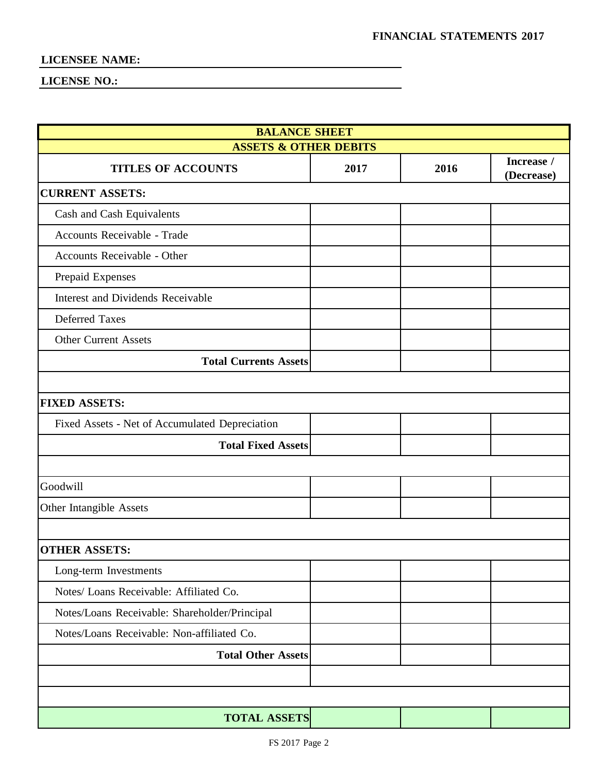| <b>BALANCE SHEET</b>                           |      |      |                          |
|------------------------------------------------|------|------|--------------------------|
| <b>ASSETS &amp; OTHER DEBITS</b>               |      |      |                          |
| <b>TITLES OF ACCOUNTS</b>                      | 2017 | 2016 | Increase /<br>(Decrease) |
| <b>CURRENT ASSETS:</b>                         |      |      |                          |
| Cash and Cash Equivalents                      |      |      |                          |
| Accounts Receivable - Trade                    |      |      |                          |
| Accounts Receivable - Other                    |      |      |                          |
| Prepaid Expenses                               |      |      |                          |
| Interest and Dividends Receivable              |      |      |                          |
| Deferred Taxes                                 |      |      |                          |
| <b>Other Current Assets</b>                    |      |      |                          |
| <b>Total Currents Assets</b>                   |      |      |                          |
|                                                |      |      |                          |
| <b>FIXED ASSETS:</b>                           |      |      |                          |
| Fixed Assets - Net of Accumulated Depreciation |      |      |                          |
| <b>Total Fixed Assets</b>                      |      |      |                          |
|                                                |      |      |                          |
| Goodwill                                       |      |      |                          |
| Other Intangible Assets                        |      |      |                          |
|                                                |      |      |                          |
| <b>OTHER ASSETS:</b>                           |      |      |                          |
| Long-term Investments                          |      |      |                          |
| Notes/ Loans Receivable: Affiliated Co.        |      |      |                          |
| Notes/Loans Receivable: Shareholder/Principal  |      |      |                          |
| Notes/Loans Receivable: Non-affiliated Co.     |      |      |                          |
| <b>Total Other Assets</b>                      |      |      |                          |
|                                                |      |      |                          |
|                                                |      |      |                          |
| <b>TOTAL ASSETS</b>                            |      |      |                          |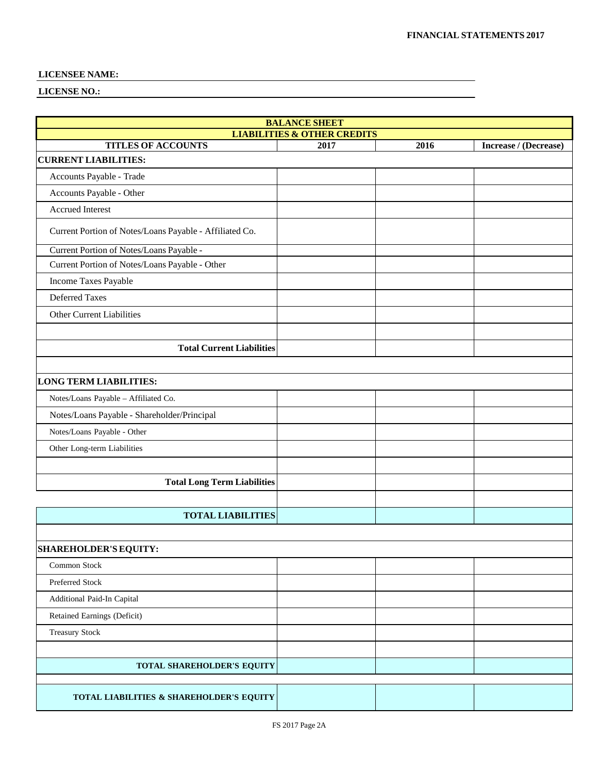| <b>BALANCE SHEET</b>                                    |                                                |      |                       |
|---------------------------------------------------------|------------------------------------------------|------|-----------------------|
| <b>TITLES OF ACCOUNTS</b>                               | <b>LIABILITIES &amp; OTHER CREDITS</b><br>2017 | 2016 | Increase / (Decrease) |
| <b>CURRENT LIABILITIES:</b>                             |                                                |      |                       |
| Accounts Payable - Trade                                |                                                |      |                       |
| Accounts Payable - Other                                |                                                |      |                       |
| <b>Accrued Interest</b>                                 |                                                |      |                       |
| Current Portion of Notes/Loans Payable - Affiliated Co. |                                                |      |                       |
| Current Portion of Notes/Loans Payable -                |                                                |      |                       |
| Current Portion of Notes/Loans Payable - Other          |                                                |      |                       |
| Income Taxes Payable                                    |                                                |      |                       |
| <b>Deferred Taxes</b>                                   |                                                |      |                       |
| Other Current Liabilities                               |                                                |      |                       |
|                                                         |                                                |      |                       |
| <b>Total Current Liabilities</b>                        |                                                |      |                       |
|                                                         |                                                |      |                       |
| <b>LONG TERM LIABILITIES:</b>                           |                                                |      |                       |
| Notes/Loans Payable - Affiliated Co.                    |                                                |      |                       |
| Notes/Loans Payable - Shareholder/Principal             |                                                |      |                       |
| Notes/Loans Payable - Other                             |                                                |      |                       |
| Other Long-term Liabilities                             |                                                |      |                       |
|                                                         |                                                |      |                       |
| <b>Total Long Term Liabilities</b>                      |                                                |      |                       |
|                                                         |                                                |      |                       |
| <b>TOTAL LIABILITIES</b>                                |                                                |      |                       |
|                                                         |                                                |      |                       |
| <b>SHAREHOLDER'S EQUITY:</b>                            |                                                |      |                       |
| Common Stock                                            |                                                |      |                       |
| Preferred Stock                                         |                                                |      |                       |
| Additional Paid-In Capital                              |                                                |      |                       |
| Retained Earnings (Deficit)                             |                                                |      |                       |
| <b>Treasury Stock</b>                                   |                                                |      |                       |
|                                                         |                                                |      |                       |
| TOTAL SHAREHOLDER'S EQUITY                              |                                                |      |                       |
|                                                         |                                                |      |                       |
| TOTAL LIABILITIES & SHAREHOLDER'S EQUITY                |                                                |      |                       |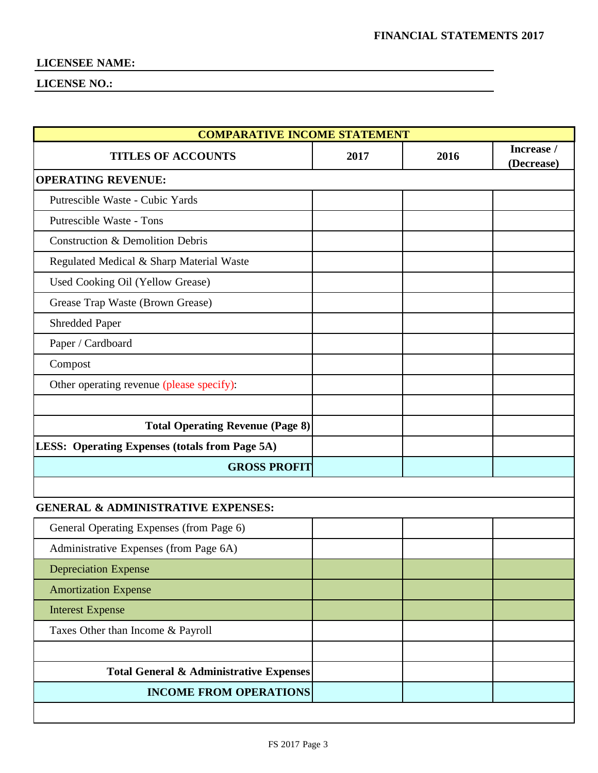| <b>COMPARATIVE INCOME STATEMENT</b>                   |      |      |                          |
|-------------------------------------------------------|------|------|--------------------------|
| <b>TITLES OF ACCOUNTS</b>                             | 2017 | 2016 | Increase /<br>(Decrease) |
| <b>OPERATING REVENUE:</b>                             |      |      |                          |
| Putrescible Waste - Cubic Yards                       |      |      |                          |
| Putrescible Waste - Tons                              |      |      |                          |
| <b>Construction &amp; Demolition Debris</b>           |      |      |                          |
| Regulated Medical & Sharp Material Waste              |      |      |                          |
| Used Cooking Oil (Yellow Grease)                      |      |      |                          |
| Grease Trap Waste (Brown Grease)                      |      |      |                          |
| Shredded Paper                                        |      |      |                          |
| Paper / Cardboard                                     |      |      |                          |
| Compost                                               |      |      |                          |
| Other operating revenue (please specify):             |      |      |                          |
|                                                       |      |      |                          |
| <b>Total Operating Revenue (Page 8)</b>               |      |      |                          |
| <b>LESS: Operating Expenses (totals from Page 5A)</b> |      |      |                          |
| <b>GROSS PROFIT</b>                                   |      |      |                          |
|                                                       |      |      |                          |
| <b>GENERAL &amp; ADMINISTRATIVE EXPENSES:</b>         |      |      |                          |
| General Operating Expenses (from Page 6)              |      |      |                          |
| Administrative Expenses (from Page 6A)                |      |      |                          |
| <b>Depreciation Expense</b>                           |      |      |                          |
| <b>Amortization Expense</b>                           |      |      |                          |
| <b>Interest Expense</b>                               |      |      |                          |
| Taxes Other than Income & Payroll                     |      |      |                          |
|                                                       |      |      |                          |
| <b>Total General &amp; Administrative Expenses</b>    |      |      |                          |
| <b>INCOME FROM OPERATIONS</b>                         |      |      |                          |
|                                                       |      |      |                          |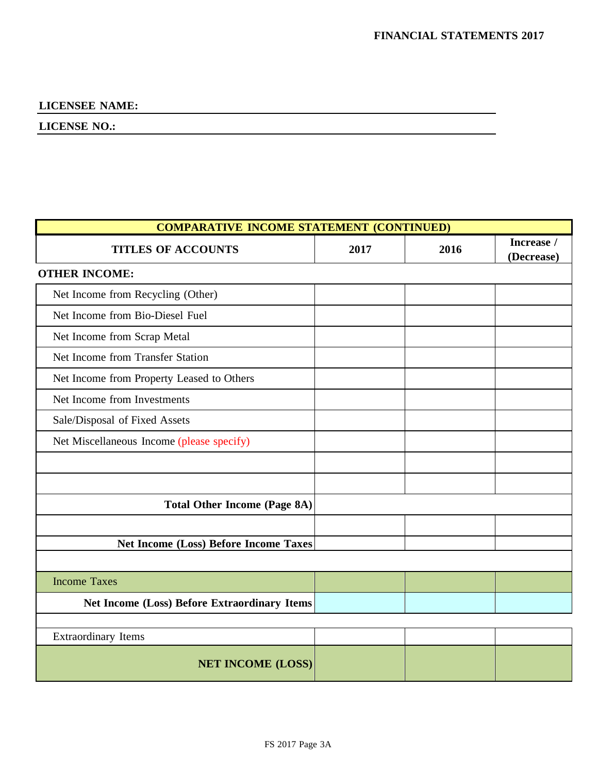| <b>COMPARATIVE INCOME STATEMENT (CONTINUED)</b>     |      |      |                          |
|-----------------------------------------------------|------|------|--------------------------|
| <b>TITLES OF ACCOUNTS</b>                           | 2017 | 2016 | Increase /<br>(Decrease) |
| <b>OTHER INCOME:</b>                                |      |      |                          |
| Net Income from Recycling (Other)                   |      |      |                          |
| Net Income from Bio-Diesel Fuel                     |      |      |                          |
| Net Income from Scrap Metal                         |      |      |                          |
| Net Income from Transfer Station                    |      |      |                          |
| Net Income from Property Leased to Others           |      |      |                          |
| Net Income from Investments                         |      |      |                          |
| Sale/Disposal of Fixed Assets                       |      |      |                          |
| Net Miscellaneous Income (please specify)           |      |      |                          |
|                                                     |      |      |                          |
|                                                     |      |      |                          |
| <b>Total Other Income (Page 8A)</b>                 |      |      |                          |
|                                                     |      |      |                          |
| <b>Net Income (Loss) Before Income Taxes</b>        |      |      |                          |
|                                                     |      |      |                          |
| <b>Income Taxes</b>                                 |      |      |                          |
| <b>Net Income (Loss) Before Extraordinary Items</b> |      |      |                          |
|                                                     |      |      |                          |
| <b>Extraordinary Items</b>                          |      |      |                          |
| <b>NET INCOME (LOSS)</b>                            |      |      |                          |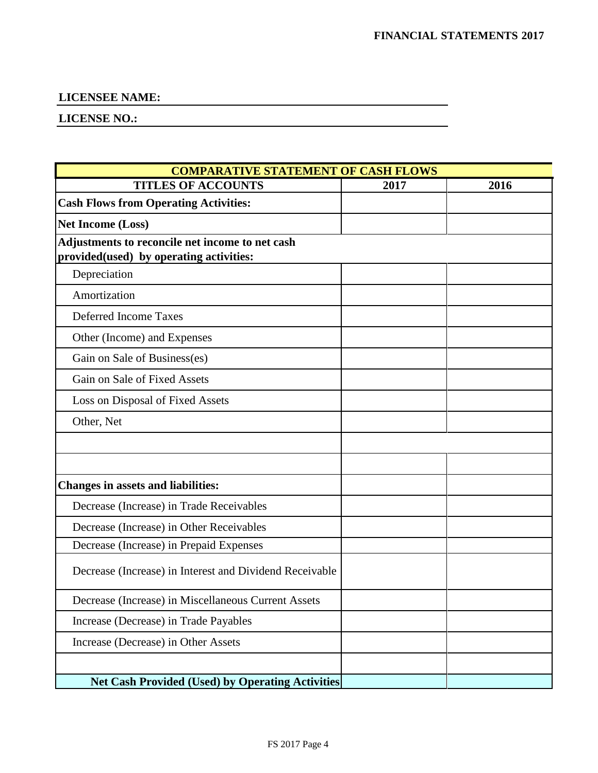| <b>COMPARATIVE STATEMENT OF CASH FLOWS</b>              |      |      |
|---------------------------------------------------------|------|------|
| <b>TITLES OF ACCOUNTS</b>                               | 2017 | 2016 |
| <b>Cash Flows from Operating Activities:</b>            |      |      |
| <b>Net Income (Loss)</b>                                |      |      |
| Adjustments to reconcile net income to net cash         |      |      |
| provided(used) by operating activities:                 |      |      |
| Depreciation                                            |      |      |
| Amortization                                            |      |      |
| Deferred Income Taxes                                   |      |      |
| Other (Income) and Expenses                             |      |      |
| Gain on Sale of Business(es)                            |      |      |
| Gain on Sale of Fixed Assets                            |      |      |
| Loss on Disposal of Fixed Assets                        |      |      |
| Other, Net                                              |      |      |
|                                                         |      |      |
|                                                         |      |      |
| <b>Changes in assets and liabilities:</b>               |      |      |
| Decrease (Increase) in Trade Receivables                |      |      |
| Decrease (Increase) in Other Receivables                |      |      |
| Decrease (Increase) in Prepaid Expenses                 |      |      |
| Decrease (Increase) in Interest and Dividend Receivable |      |      |
| Decrease (Increase) in Miscellaneous Current Assets     |      |      |
| Increase (Decrease) in Trade Payables                   |      |      |
| Increase (Decrease) in Other Assets                     |      |      |
|                                                         |      |      |
| <b>Net Cash Provided (Used) by Operating Activities</b> |      |      |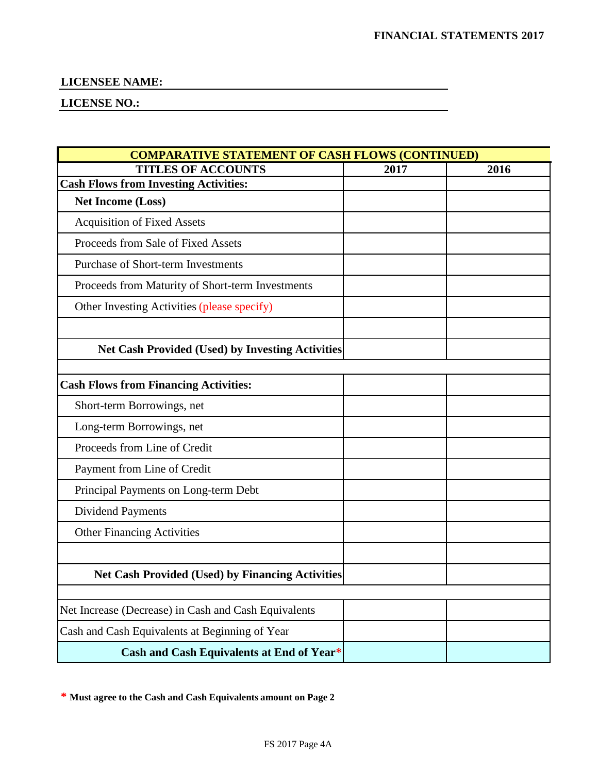### **LICENSE NO.:**

| <b>COMPARATIVE STATEMENT OF CASH FLOWS (CONTINUED)</b>  |      |      |  |
|---------------------------------------------------------|------|------|--|
| <b>TITLES OF ACCOUNTS</b>                               | 2017 | 2016 |  |
| <b>Cash Flows from Investing Activities:</b>            |      |      |  |
| <b>Net Income (Loss)</b>                                |      |      |  |
| <b>Acquisition of Fixed Assets</b>                      |      |      |  |
| Proceeds from Sale of Fixed Assets                      |      |      |  |
| <b>Purchase of Short-term Investments</b>               |      |      |  |
| Proceeds from Maturity of Short-term Investments        |      |      |  |
| Other Investing Activities (please specify)             |      |      |  |
| <b>Net Cash Provided (Used) by Investing Activities</b> |      |      |  |
| <b>Cash Flows from Financing Activities:</b>            |      |      |  |
| Short-term Borrowings, net                              |      |      |  |
| Long-term Borrowings, net                               |      |      |  |
| Proceeds from Line of Credit                            |      |      |  |
| Payment from Line of Credit                             |      |      |  |
| Principal Payments on Long-term Debt                    |      |      |  |
| <b>Dividend Payments</b>                                |      |      |  |
| <b>Other Financing Activities</b>                       |      |      |  |
|                                                         |      |      |  |
| <b>Net Cash Provided (Used) by Financing Activities</b> |      |      |  |
|                                                         |      |      |  |
| Net Increase (Decrease) in Cash and Cash Equivalents    |      |      |  |
| Cash and Cash Equivalents at Beginning of Year          |      |      |  |
| Cash and Cash Equivalents at End of Year*               |      |      |  |

**\* Must agree to the Cash and Cash Equivalents amount on Page 2**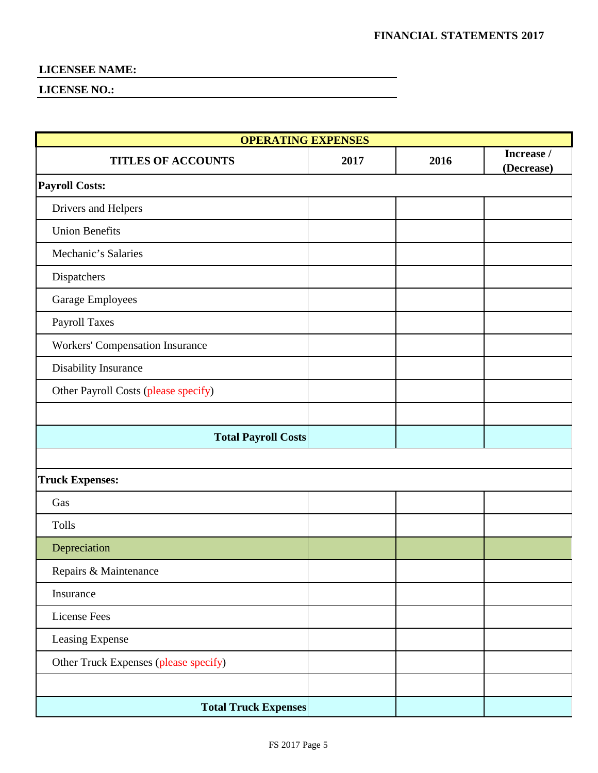| <b>OPERATING EXPENSES</b>             |      |      |            |
|---------------------------------------|------|------|------------|
| <b>TITLES OF ACCOUNTS</b>             | 2017 | 2016 | Increase / |
| <b>Payroll Costs:</b>                 |      |      | (Decrease) |
|                                       |      |      |            |
| Drivers and Helpers                   |      |      |            |
| <b>Union Benefits</b>                 |      |      |            |
| Mechanic's Salaries                   |      |      |            |
| Dispatchers                           |      |      |            |
| Garage Employees                      |      |      |            |
| Payroll Taxes                         |      |      |            |
| Workers' Compensation Insurance       |      |      |            |
| Disability Insurance                  |      |      |            |
| Other Payroll Costs (please specify)  |      |      |            |
|                                       |      |      |            |
| <b>Total Payroll Costs</b>            |      |      |            |
|                                       |      |      |            |
| <b>Truck Expenses:</b>                |      |      |            |
| Gas                                   |      |      |            |
| Tolls                                 |      |      |            |
| Depreciation                          |      |      |            |
| Repairs & Maintenance                 |      |      |            |
| Insurance                             |      |      |            |
| <b>License Fees</b>                   |      |      |            |
| Leasing Expense                       |      |      |            |
| Other Truck Expenses (please specify) |      |      |            |
|                                       |      |      |            |
| <b>Total Truck Expenses</b>           |      |      |            |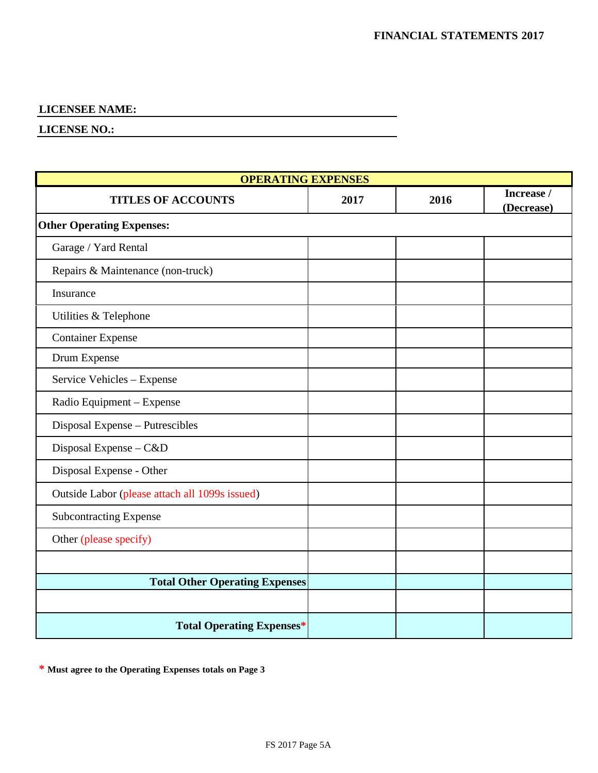#### **LICENSE NO.:**

| <b>OPERATING EXPENSES</b>                      |      |      |                          |
|------------------------------------------------|------|------|--------------------------|
| <b>TITLES OF ACCOUNTS</b>                      | 2017 | 2016 | Increase /<br>(Decrease) |
| <b>Other Operating Expenses:</b>               |      |      |                          |
| Garage / Yard Rental                           |      |      |                          |
| Repairs & Maintenance (non-truck)              |      |      |                          |
| Insurance                                      |      |      |                          |
| Utilities & Telephone                          |      |      |                          |
| <b>Container Expense</b>                       |      |      |                          |
| Drum Expense                                   |      |      |                          |
| Service Vehicles - Expense                     |      |      |                          |
| Radio Equipment - Expense                      |      |      |                          |
| Disposal Expense - Putrescibles                |      |      |                          |
| Disposal Expense - C&D                         |      |      |                          |
| Disposal Expense - Other                       |      |      |                          |
| Outside Labor (please attach all 1099s issued) |      |      |                          |
| <b>Subcontracting Expense</b>                  |      |      |                          |
| Other (please specify)                         |      |      |                          |
|                                                |      |      |                          |
| <b>Total Other Operating Expenses</b>          |      |      |                          |
|                                                |      |      |                          |
| <b>Total Operating Expenses*</b>               |      |      |                          |

**\* Must agree to the Operating Expenses totals on Page 3**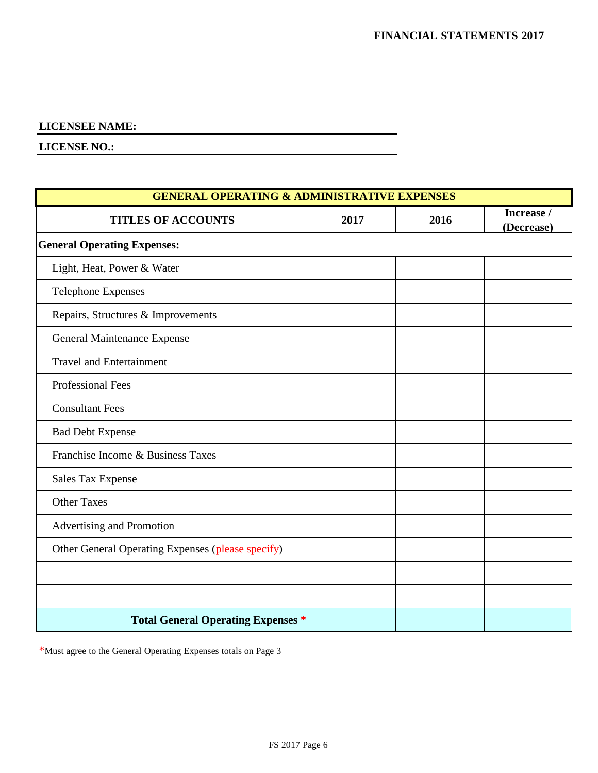**LICENSE NO.:**

| <b>GENERAL OPERATING &amp; ADMINISTRATIVE EXPENSES</b> |      |      |                          |  |  |  |  |  |
|--------------------------------------------------------|------|------|--------------------------|--|--|--|--|--|
| <b>TITLES OF ACCOUNTS</b>                              | 2017 | 2016 | Increase /<br>(Decrease) |  |  |  |  |  |
| <b>General Operating Expenses:</b>                     |      |      |                          |  |  |  |  |  |
| Light, Heat, Power & Water                             |      |      |                          |  |  |  |  |  |
| <b>Telephone Expenses</b>                              |      |      |                          |  |  |  |  |  |
| Repairs, Structures & Improvements                     |      |      |                          |  |  |  |  |  |
| General Maintenance Expense                            |      |      |                          |  |  |  |  |  |
| <b>Travel and Entertainment</b>                        |      |      |                          |  |  |  |  |  |
| Professional Fees                                      |      |      |                          |  |  |  |  |  |
| <b>Consultant Fees</b>                                 |      |      |                          |  |  |  |  |  |
| <b>Bad Debt Expense</b>                                |      |      |                          |  |  |  |  |  |
| Franchise Income & Business Taxes                      |      |      |                          |  |  |  |  |  |
| <b>Sales Tax Expense</b>                               |      |      |                          |  |  |  |  |  |
| <b>Other Taxes</b>                                     |      |      |                          |  |  |  |  |  |
| Advertising and Promotion                              |      |      |                          |  |  |  |  |  |
| Other General Operating Expenses (please specify)      |      |      |                          |  |  |  |  |  |
|                                                        |      |      |                          |  |  |  |  |  |
|                                                        |      |      |                          |  |  |  |  |  |
| <b>Total General Operating Expenses *</b>              |      |      |                          |  |  |  |  |  |

\*Must agree to the General Operating Expenses totals on Page 3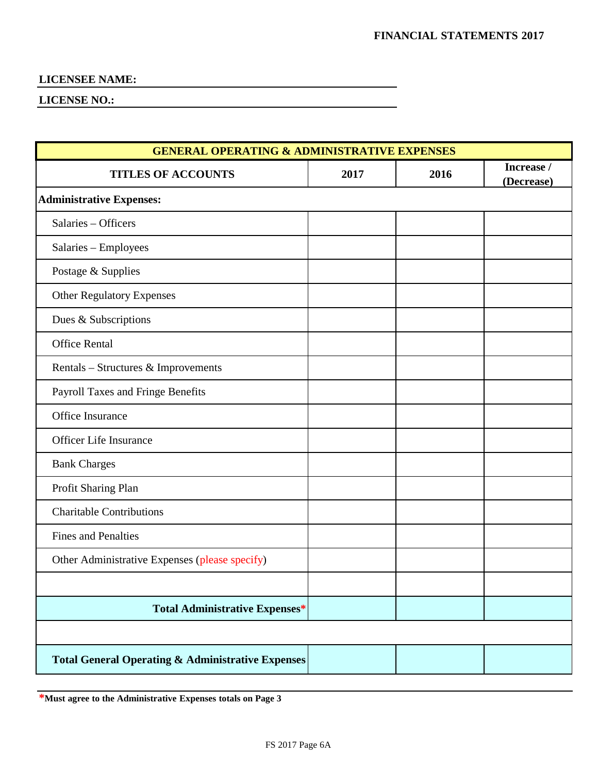**LICENSE NO.:**

| <b>GENERAL OPERATING &amp; ADMINISTRATIVE EXPENSES</b>       |      |      |                          |  |  |  |  |  |  |
|--------------------------------------------------------------|------|------|--------------------------|--|--|--|--|--|--|
| <b>TITLES OF ACCOUNTS</b>                                    | 2017 | 2016 | Increase /<br>(Decrease) |  |  |  |  |  |  |
| <b>Administrative Expenses:</b>                              |      |      |                          |  |  |  |  |  |  |
| Salaries - Officers                                          |      |      |                          |  |  |  |  |  |  |
| Salaries - Employees                                         |      |      |                          |  |  |  |  |  |  |
| Postage & Supplies                                           |      |      |                          |  |  |  |  |  |  |
| <b>Other Regulatory Expenses</b>                             |      |      |                          |  |  |  |  |  |  |
| Dues & Subscriptions                                         |      |      |                          |  |  |  |  |  |  |
| <b>Office Rental</b>                                         |      |      |                          |  |  |  |  |  |  |
| Rentals – Structures & Improvements                          |      |      |                          |  |  |  |  |  |  |
| Payroll Taxes and Fringe Benefits                            |      |      |                          |  |  |  |  |  |  |
| Office Insurance                                             |      |      |                          |  |  |  |  |  |  |
| <b>Officer Life Insurance</b>                                |      |      |                          |  |  |  |  |  |  |
| <b>Bank Charges</b>                                          |      |      |                          |  |  |  |  |  |  |
| Profit Sharing Plan                                          |      |      |                          |  |  |  |  |  |  |
| <b>Charitable Contributions</b>                              |      |      |                          |  |  |  |  |  |  |
| <b>Fines and Penalties</b>                                   |      |      |                          |  |  |  |  |  |  |
| Other Administrative Expenses (please specify)               |      |      |                          |  |  |  |  |  |  |
|                                                              |      |      |                          |  |  |  |  |  |  |
| <b>Total Administrative Expenses*</b>                        |      |      |                          |  |  |  |  |  |  |
|                                                              |      |      |                          |  |  |  |  |  |  |
| <b>Total General Operating &amp; Administrative Expenses</b> |      |      |                          |  |  |  |  |  |  |

**\*Must agree to the Administrative Expenses totals on Page 3**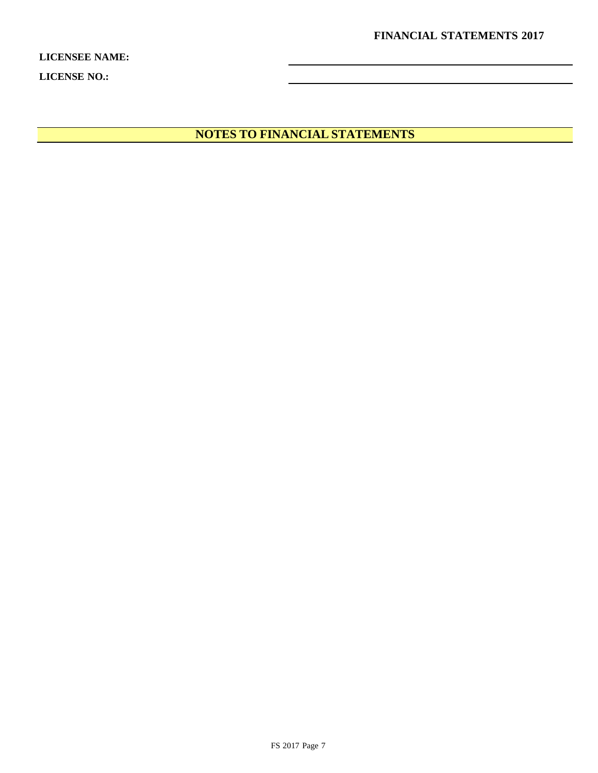**FINANCIAL STATEMENTS 2017**

**LICENSEE NAME: LICENSE NO.:**

**NOTES TO FINANCIAL STATEMENTS**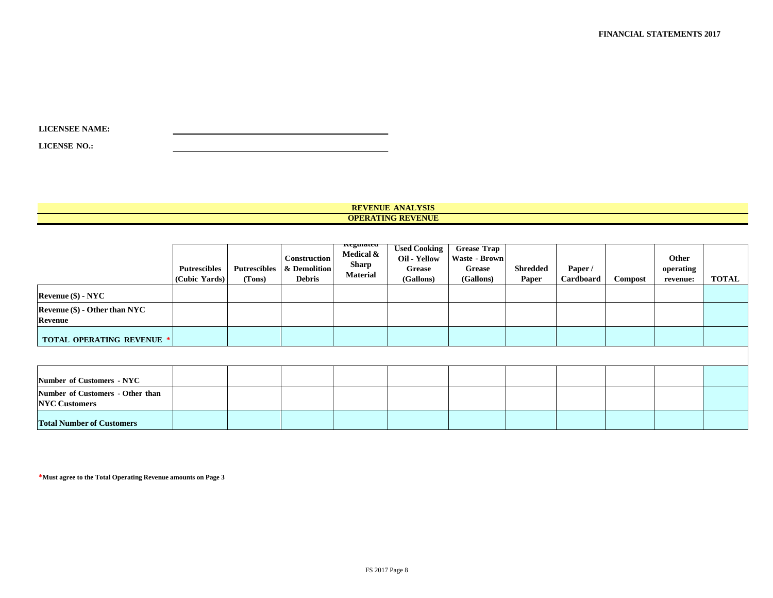| <b>LICENSEE NAME:</b> |  |
|-----------------------|--|
|                       |  |

**LICENSE NO.:**

#### **REVENUE ANALYSIS OPERATING REVENUE**

|                                                          | Putrescibles<br>(Cubic Yards) | Putrescibles<br>(Tons) | Construction<br>& Demolition<br><b>Debris</b> | ncguiateu<br>Medical $\&$<br><b>Sharp</b><br><b>Material</b> | <b>Used Cooking</b><br>Oil - Yellow<br><b>Grease</b><br>(Gallons) | <b>Grease Trap</b><br>Waste - Brown<br><b>Grease</b><br>(Gallons) | <b>Shredded</b><br>Paper | Paper/<br>Cardboard | Compost | Other<br>operating<br>revenue: | <b>TOTAL</b> |
|----------------------------------------------------------|-------------------------------|------------------------|-----------------------------------------------|--------------------------------------------------------------|-------------------------------------------------------------------|-------------------------------------------------------------------|--------------------------|---------------------|---------|--------------------------------|--------------|
| $Rec$ <b>Revenue (\$)</b> - NYC                          |                               |                        |                                               |                                                              |                                                                   |                                                                   |                          |                     |         |                                |              |
| Revenue (\$) - Other than NYC<br><b>Revenue</b>          |                               |                        |                                               |                                                              |                                                                   |                                                                   |                          |                     |         |                                |              |
| <b>TOTAL OPERATING REVENUE *</b>                         |                               |                        |                                               |                                                              |                                                                   |                                                                   |                          |                     |         |                                |              |
|                                                          |                               |                        |                                               |                                                              |                                                                   |                                                                   |                          |                     |         |                                |              |
| Number of Customers - NYC                                |                               |                        |                                               |                                                              |                                                                   |                                                                   |                          |                     |         |                                |              |
| Number of Customers - Other than<br><b>NYC</b> Customers |                               |                        |                                               |                                                              |                                                                   |                                                                   |                          |                     |         |                                |              |
| <b>Total Number of Customers</b>                         |                               |                        |                                               |                                                              |                                                                   |                                                                   |                          |                     |         |                                |              |

**\*Must agree to the Total Operating Revenue amounts on Page 3**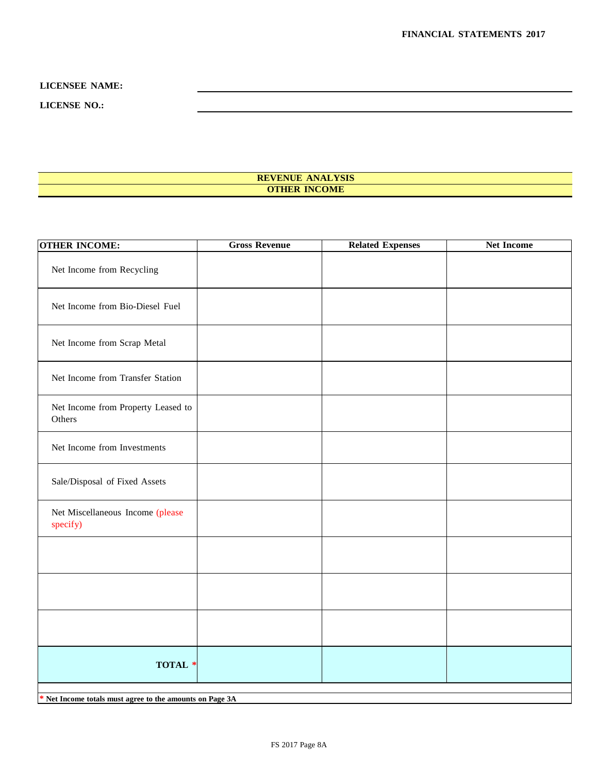#### **LICENSE NO.:**

#### **REVENUE ANALYSIS OTHER INCOME**

| <b>OTHER INCOME:</b>                                     | <b>Gross Revenue</b> | <b>Related Expenses</b> | <b>Net Income</b> |
|----------------------------------------------------------|----------------------|-------------------------|-------------------|
| Net Income from Recycling                                |                      |                         |                   |
| Net Income from Bio-Diesel Fuel                          |                      |                         |                   |
| Net Income from Scrap Metal                              |                      |                         |                   |
| Net Income from Transfer Station                         |                      |                         |                   |
| Net Income from Property Leased to<br>Others             |                      |                         |                   |
| Net Income from Investments                              |                      |                         |                   |
| Sale/Disposal of Fixed Assets                            |                      |                         |                   |
| Net Miscellaneous Income (please<br>specify)             |                      |                         |                   |
|                                                          |                      |                         |                   |
|                                                          |                      |                         |                   |
|                                                          |                      |                         |                   |
| TOTAL *                                                  |                      |                         |                   |
| * Net Income totals must agree to the amounts on Page 3A |                      |                         |                   |
|                                                          |                      |                         |                   |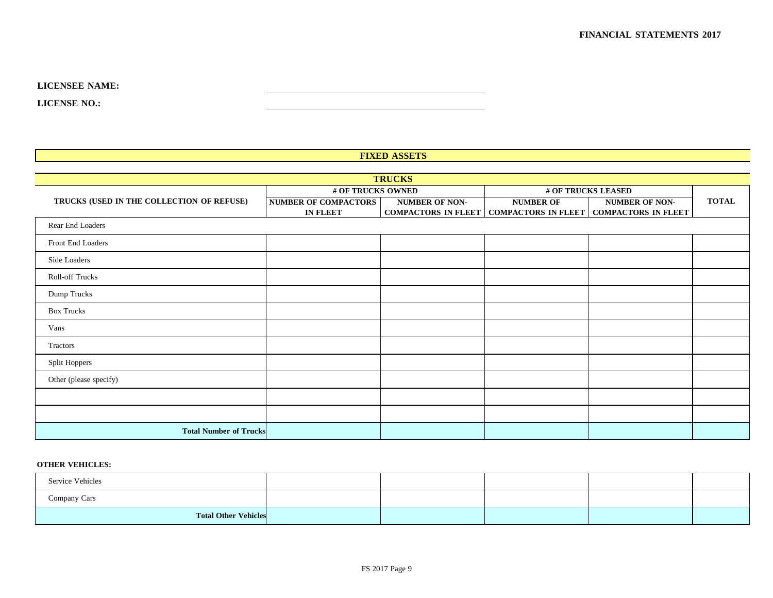**LICENSE NO.:**

#### **FIXED ASSETS**

| <b>TRUCKS</b>                             |                             |                            |                    |                                                  |              |  |  |  |  |
|-------------------------------------------|-----------------------------|----------------------------|--------------------|--------------------------------------------------|--------------|--|--|--|--|
|                                           | # OF TRUCKS OWNED           |                            | # OF TRUCKS LEASED |                                                  |              |  |  |  |  |
| TRUCKS (USED IN THE COLLECTION OF REFUSE) | <b>NUMBER OF COMPACTORS</b> | <b>NUMBER OF NON-</b>      | <b>NUMBER OF</b>   | <b>NUMBER OF NON-</b>                            | <b>TOTAL</b> |  |  |  |  |
|                                           | <b>IN FLEET</b>             | <b>COMPACTORS IN FLEET</b> |                    | <b>COMPACTORS IN FLEET   COMPACTORS IN FLEET</b> |              |  |  |  |  |
| Rear End Loaders                          |                             |                            |                    |                                                  |              |  |  |  |  |
| Front End Loaders                         |                             |                            |                    |                                                  |              |  |  |  |  |
| Side Loaders                              |                             |                            |                    |                                                  |              |  |  |  |  |
| Roll-off Trucks                           |                             |                            |                    |                                                  |              |  |  |  |  |
| Dump Trucks                               |                             |                            |                    |                                                  |              |  |  |  |  |
| <b>Box Trucks</b>                         |                             |                            |                    |                                                  |              |  |  |  |  |
| Vans                                      |                             |                            |                    |                                                  |              |  |  |  |  |
| Tractors                                  |                             |                            |                    |                                                  |              |  |  |  |  |
| Split Hoppers                             |                             |                            |                    |                                                  |              |  |  |  |  |
| Other (please specify)                    |                             |                            |                    |                                                  |              |  |  |  |  |
|                                           |                             |                            |                    |                                                  |              |  |  |  |  |
|                                           |                             |                            |                    |                                                  |              |  |  |  |  |
| <b>Total Number of Trucks</b>             |                             |                            |                    |                                                  |              |  |  |  |  |

#### **OTHER VEHICLES:**

| Service Vehicles            |  |  |  |
|-----------------------------|--|--|--|
| Company Cars                |  |  |  |
| <b>Total Other Vehicles</b> |  |  |  |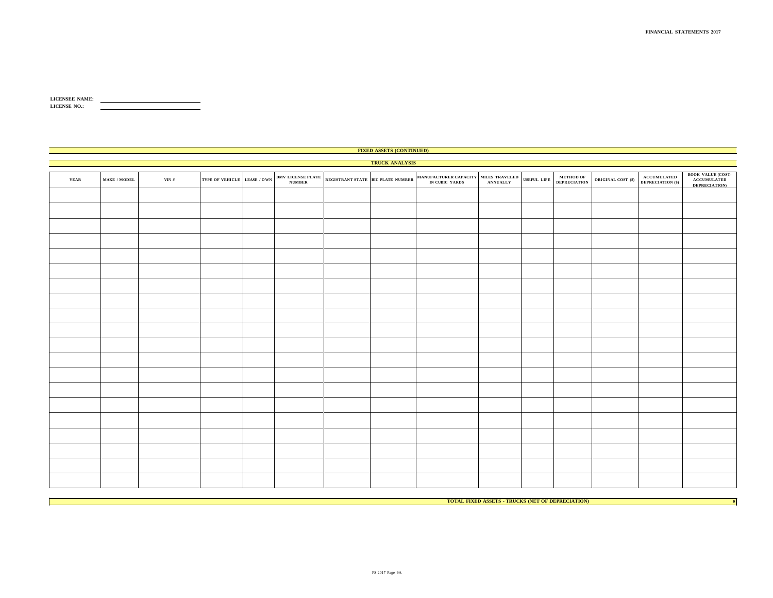| <b>LICENSEE NAME:</b> |  |
|-----------------------|--|
| <b>LICENSE NO.:</b>   |  |
|                       |  |

|      | <b>FIXED ASSETS (CONTINUED)</b>    |       |                             |  |  |  |                       |  |  |             |                                                                        |                      |                                                                               |                                                          |
|------|------------------------------------|-------|-----------------------------|--|--|--|-----------------------|--|--|-------------|------------------------------------------------------------------------|----------------------|-------------------------------------------------------------------------------|----------------------------------------------------------|
|      |                                    |       |                             |  |  |  | <b>TRUCK ANALYSIS</b> |  |  |             |                                                                        |                      |                                                                               |                                                          |
| YEAR | $\textbf{MAKE}$ / $\textbf{MODEL}$ | VIN # | TYPE OF VEHICLE LEASE / OWN |  |  |  |                       |  |  | USEFUL LIFE | $\begin{array}{ll} \textbf{METHOD OF} \\ \textbf{DEPENDS} \end{array}$ | ORIGINAL COST $(\$)$ | $\begin{array}{c} \textbf{ACCUMULATION}\; (\$)\\ \textbf{DEPEND} \end{array}$ | <b>BOOK VALUE (COST-</b><br>ACCUMULATED<br>DEPRECIATION) |
|      |                                    |       |                             |  |  |  |                       |  |  |             |                                                                        |                      |                                                                               |                                                          |
|      |                                    |       |                             |  |  |  |                       |  |  |             |                                                                        |                      |                                                                               |                                                          |
|      |                                    |       |                             |  |  |  |                       |  |  |             |                                                                        |                      |                                                                               |                                                          |
|      |                                    |       |                             |  |  |  |                       |  |  |             |                                                                        |                      |                                                                               |                                                          |
|      |                                    |       |                             |  |  |  |                       |  |  |             |                                                                        |                      |                                                                               |                                                          |
|      |                                    |       |                             |  |  |  |                       |  |  |             |                                                                        |                      |                                                                               |                                                          |
|      |                                    |       |                             |  |  |  |                       |  |  |             |                                                                        |                      |                                                                               |                                                          |
|      |                                    |       |                             |  |  |  |                       |  |  |             |                                                                        |                      |                                                                               |                                                          |
|      |                                    |       |                             |  |  |  |                       |  |  |             |                                                                        |                      |                                                                               |                                                          |
|      |                                    |       |                             |  |  |  |                       |  |  |             |                                                                        |                      |                                                                               |                                                          |
|      |                                    |       |                             |  |  |  |                       |  |  |             |                                                                        |                      |                                                                               |                                                          |
|      |                                    |       |                             |  |  |  |                       |  |  |             |                                                                        |                      |                                                                               |                                                          |
|      |                                    |       |                             |  |  |  |                       |  |  |             |                                                                        |                      |                                                                               |                                                          |
|      |                                    |       |                             |  |  |  |                       |  |  |             |                                                                        |                      |                                                                               |                                                          |
|      |                                    |       |                             |  |  |  |                       |  |  |             |                                                                        |                      |                                                                               |                                                          |
|      |                                    |       |                             |  |  |  |                       |  |  |             |                                                                        |                      |                                                                               |                                                          |
|      |                                    |       |                             |  |  |  |                       |  |  |             |                                                                        |                      |                                                                               |                                                          |
|      |                                    |       |                             |  |  |  |                       |  |  |             |                                                                        |                      |                                                                               |                                                          |
|      |                                    |       |                             |  |  |  |                       |  |  |             |                                                                        |                      |                                                                               |                                                          |
|      |                                    |       |                             |  |  |  |                       |  |  |             |                                                                        |                      |                                                                               |                                                          |

**TOTAL FIXED ASSETS - TRUCKS (NET OF DEPRECIATION) 0**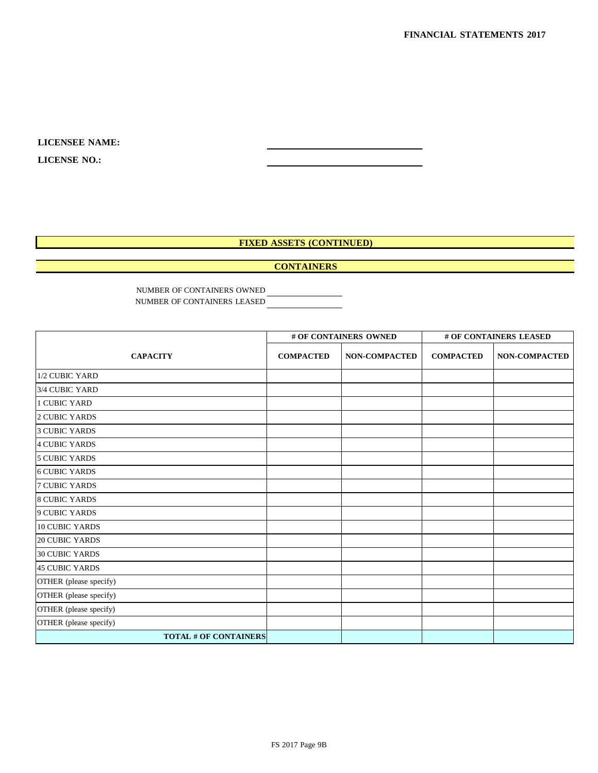**LICENSE NO.:**

## **FIXED ASSETS (CONTINUED)**

#### **CONTAINERS**

NUMBER OF CONTAINERS OWNED NUMBER OF CONTAINERS LEASED

|                              |                  | # OF CONTAINERS OWNED |                  | # OF CONTAINERS LEASED |  |
|------------------------------|------------------|-----------------------|------------------|------------------------|--|
| <b>CAPACITY</b>              | <b>COMPACTED</b> | <b>NON-COMPACTED</b>  | <b>COMPACTED</b> | <b>NON-COMPACTED</b>   |  |
| 1/2 CUBIC YARD               |                  |                       |                  |                        |  |
| 3/4 CUBIC YARD               |                  |                       |                  |                        |  |
| <b>1 CUBIC YARD</b>          |                  |                       |                  |                        |  |
| 2 CUBIC YARDS                |                  |                       |                  |                        |  |
| <b>3 CUBIC YARDS</b>         |                  |                       |                  |                        |  |
| <b>4 CUBIC YARDS</b>         |                  |                       |                  |                        |  |
| <b>5 CUBIC YARDS</b>         |                  |                       |                  |                        |  |
| <b>6 CUBIC YARDS</b>         |                  |                       |                  |                        |  |
| <b>7 CUBIC YARDS</b>         |                  |                       |                  |                        |  |
| <b>8 CUBIC YARDS</b>         |                  |                       |                  |                        |  |
| <b>9 CUBIC YARDS</b>         |                  |                       |                  |                        |  |
| <b>10 CUBIC YARDS</b>        |                  |                       |                  |                        |  |
| <b>20 CUBIC YARDS</b>        |                  |                       |                  |                        |  |
| <b>30 CUBIC YARDS</b>        |                  |                       |                  |                        |  |
| <b>45 CUBIC YARDS</b>        |                  |                       |                  |                        |  |
| OTHER (please specify)       |                  |                       |                  |                        |  |
| OTHER (please specify)       |                  |                       |                  |                        |  |
| OTHER (please specify)       |                  |                       |                  |                        |  |
| OTHER (please specify)       |                  |                       |                  |                        |  |
| <b>TOTAL # OF CONTAINERS</b> |                  |                       |                  |                        |  |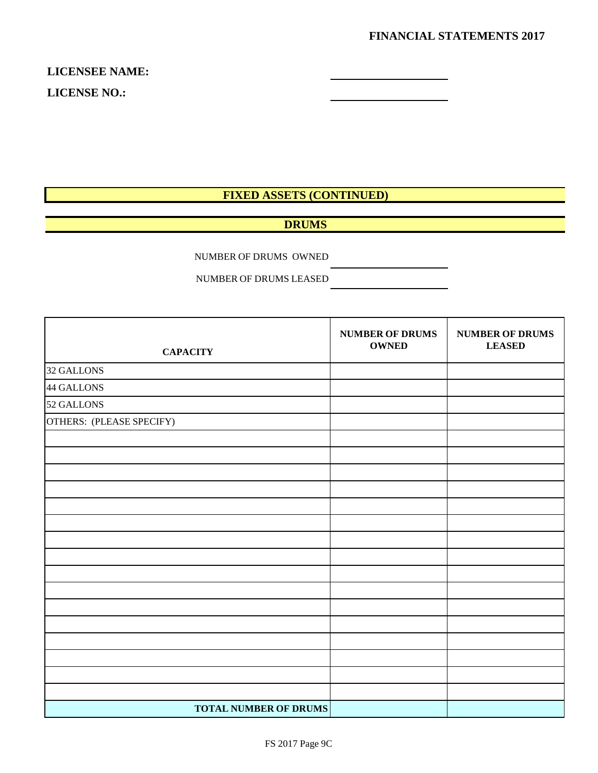**LICENSEE NAME: LICENSE NO.:**

# **FIXED ASSETS (CONTINUED)**

# **DRUMS**

NUMBER OF DRUMS OWNED

NUMBER OF DRUMS LEASED

| <b>CAPACITY</b>              | <b>NUMBER OF DRUMS</b><br><b>OWNED</b> | <b>NUMBER OF DRUMS</b><br><b>LEASED</b> |
|------------------------------|----------------------------------------|-----------------------------------------|
| 32 GALLONS                   |                                        |                                         |
| 44 GALLONS                   |                                        |                                         |
| 52 GALLONS                   |                                        |                                         |
| OTHERS: (PLEASE SPECIFY)     |                                        |                                         |
|                              |                                        |                                         |
|                              |                                        |                                         |
|                              |                                        |                                         |
|                              |                                        |                                         |
|                              |                                        |                                         |
|                              |                                        |                                         |
|                              |                                        |                                         |
|                              |                                        |                                         |
|                              |                                        |                                         |
|                              |                                        |                                         |
|                              |                                        |                                         |
|                              |                                        |                                         |
|                              |                                        |                                         |
|                              |                                        |                                         |
|                              |                                        |                                         |
|                              |                                        |                                         |
| <b>TOTAL NUMBER OF DRUMS</b> |                                        |                                         |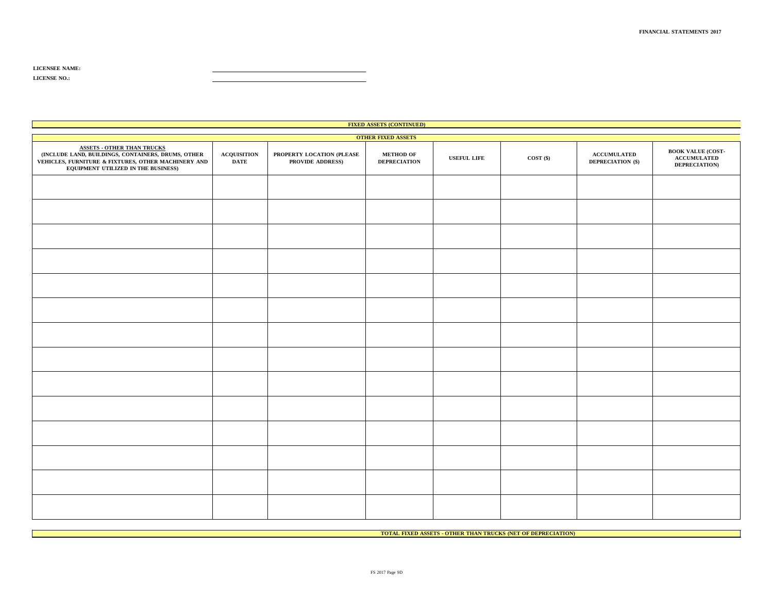| <b>FIXED ASSETS (CONTINUED)</b>                                                                                                                                                       |                                   |                                               |                                         |                    |             |                                         |                                                                         |  |  |  |
|---------------------------------------------------------------------------------------------------------------------------------------------------------------------------------------|-----------------------------------|-----------------------------------------------|-----------------------------------------|--------------------|-------------|-----------------------------------------|-------------------------------------------------------------------------|--|--|--|
|                                                                                                                                                                                       | <b>OTHER FIXED ASSETS</b>         |                                               |                                         |                    |             |                                         |                                                                         |  |  |  |
| <b>ASSETS - OTHER THAN TRUCKS</b><br>(INCLUDE LAND, BUILDINGS, CONTAINERS, DRUMS, OTHER<br>VEHICLES, FURNITURE & FIXTURES, OTHER MACHINERY AND<br>EQUIPMENT UTILIZED IN THE BUSINESS) | <b>ACQUISITION</b><br><b>DATE</b> | PROPERTY LOCATION (PLEASE<br>PROVIDE ADDRESS) | <b>METHOD OF</b><br><b>DEPRECIATION</b> | <b>USEFUL LIFE</b> | $COST($ \$) | <b>ACCUMULATED</b><br>DEPRECIATION (\$) | <b>BOOK VALUE (COST-</b><br><b>ACCUMULATED</b><br><b>DEPRECIATION</b> ) |  |  |  |
|                                                                                                                                                                                       |                                   |                                               |                                         |                    |             |                                         |                                                                         |  |  |  |
|                                                                                                                                                                                       |                                   |                                               |                                         |                    |             |                                         |                                                                         |  |  |  |
|                                                                                                                                                                                       |                                   |                                               |                                         |                    |             |                                         |                                                                         |  |  |  |
|                                                                                                                                                                                       |                                   |                                               |                                         |                    |             |                                         |                                                                         |  |  |  |
|                                                                                                                                                                                       |                                   |                                               |                                         |                    |             |                                         |                                                                         |  |  |  |
|                                                                                                                                                                                       |                                   |                                               |                                         |                    |             |                                         |                                                                         |  |  |  |
|                                                                                                                                                                                       |                                   |                                               |                                         |                    |             |                                         |                                                                         |  |  |  |
|                                                                                                                                                                                       |                                   |                                               |                                         |                    |             |                                         |                                                                         |  |  |  |
|                                                                                                                                                                                       |                                   |                                               |                                         |                    |             |                                         |                                                                         |  |  |  |
|                                                                                                                                                                                       |                                   |                                               |                                         |                    |             |                                         |                                                                         |  |  |  |
|                                                                                                                                                                                       |                                   |                                               |                                         |                    |             |                                         |                                                                         |  |  |  |
|                                                                                                                                                                                       |                                   |                                               |                                         |                    |             |                                         |                                                                         |  |  |  |
|                                                                                                                                                                                       |                                   |                                               |                                         |                    |             |                                         |                                                                         |  |  |  |
|                                                                                                                                                                                       |                                   |                                               |                                         |                    |             |                                         |                                                                         |  |  |  |

**TOTAL FIXED ASSETS - OTHER THAN TRUCKS (NET OF DEPRECIATION)**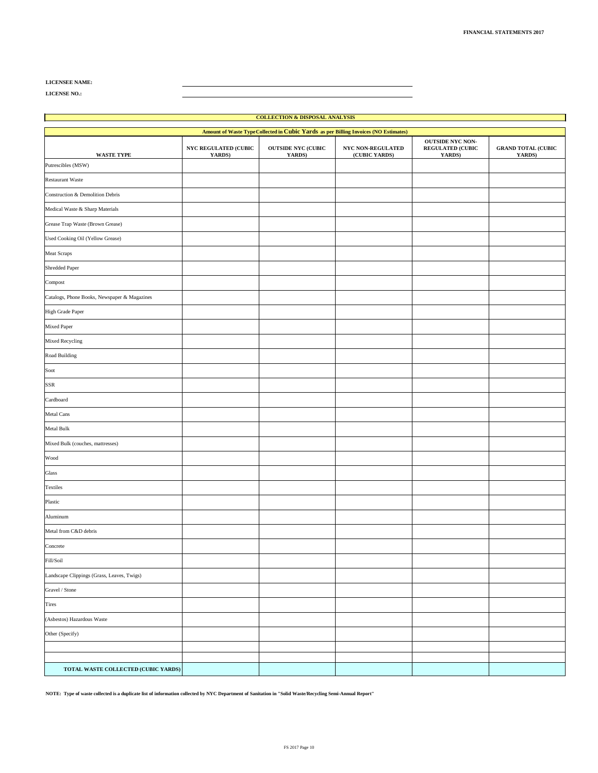**LICENSE NO.:**

| <b>COLLECTION &amp; DISPOSAL ANALYSIS</b>                                            |                                       |                                     |                                    |                                                              |                                     |  |
|--------------------------------------------------------------------------------------|---------------------------------------|-------------------------------------|------------------------------------|--------------------------------------------------------------|-------------------------------------|--|
| Amount of Waste Type Collected in Cubic Yards as per Billing Invoices (NO Estimates) |                                       |                                     |                                    |                                                              |                                     |  |
| WASTE TYPE                                                                           | <b>NYC REGULATED (CUBIC</b><br>YARDS) | <b>OUTSIDE NYC (CUBIC</b><br>YARDS) | NYC NON-REGULATED<br>(CUBIC YARDS) | <b>OUTSIDE NYC NON-</b><br><b>REGULATED (CUBIC</b><br>YARDS) | <b>GRAND TOTAL (CUBIC</b><br>YARDS) |  |
| Putrescibles (MSW)                                                                   |                                       |                                     |                                    |                                                              |                                     |  |
| <b>Restaurant Waste</b>                                                              |                                       |                                     |                                    |                                                              |                                     |  |
| Construction & Demolition Debris                                                     |                                       |                                     |                                    |                                                              |                                     |  |
| Medical Waste & Sharp Materials                                                      |                                       |                                     |                                    |                                                              |                                     |  |
| Grease Trap Waste (Brown Grease)                                                     |                                       |                                     |                                    |                                                              |                                     |  |
| Used Cooking Oil (Yellow Grease)                                                     |                                       |                                     |                                    |                                                              |                                     |  |
| Meat Scraps                                                                          |                                       |                                     |                                    |                                                              |                                     |  |
| Shredded Paper                                                                       |                                       |                                     |                                    |                                                              |                                     |  |
| Compost                                                                              |                                       |                                     |                                    |                                                              |                                     |  |
| Catalogs, Phone Books, Newspaper & Magazines                                         |                                       |                                     |                                    |                                                              |                                     |  |
| High Grade Paper                                                                     |                                       |                                     |                                    |                                                              |                                     |  |
| Mixed Paper                                                                          |                                       |                                     |                                    |                                                              |                                     |  |
| Mixed Recycling                                                                      |                                       |                                     |                                    |                                                              |                                     |  |
| Road Building                                                                        |                                       |                                     |                                    |                                                              |                                     |  |
| Soot                                                                                 |                                       |                                     |                                    |                                                              |                                     |  |
| SSR                                                                                  |                                       |                                     |                                    |                                                              |                                     |  |
| Cardboard                                                                            |                                       |                                     |                                    |                                                              |                                     |  |
| Metal Cans                                                                           |                                       |                                     |                                    |                                                              |                                     |  |
| <b>Metal Bulk</b>                                                                    |                                       |                                     |                                    |                                                              |                                     |  |
| Mixed Bulk (couches, mattresses)                                                     |                                       |                                     |                                    |                                                              |                                     |  |
| Wood                                                                                 |                                       |                                     |                                    |                                                              |                                     |  |
| Glass                                                                                |                                       |                                     |                                    |                                                              |                                     |  |
| Textiles                                                                             |                                       |                                     |                                    |                                                              |                                     |  |
| Plastic                                                                              |                                       |                                     |                                    |                                                              |                                     |  |
| Aluminum                                                                             |                                       |                                     |                                    |                                                              |                                     |  |
| Metal from C&D debris                                                                |                                       |                                     |                                    |                                                              |                                     |  |
| Concrete                                                                             |                                       |                                     |                                    |                                                              |                                     |  |
| Fill/Soil                                                                            |                                       |                                     |                                    |                                                              |                                     |  |
| Landscape Clippings (Grass, Leaves, Twigs)                                           |                                       |                                     |                                    |                                                              |                                     |  |
| Gravel / Stone                                                                       |                                       |                                     |                                    |                                                              |                                     |  |
| Tires                                                                                |                                       |                                     |                                    |                                                              |                                     |  |
| (Asbestos) Hazardous Waste                                                           |                                       |                                     |                                    |                                                              |                                     |  |
| Other (Specify)                                                                      |                                       |                                     |                                    |                                                              |                                     |  |
|                                                                                      |                                       |                                     |                                    |                                                              |                                     |  |
| TOTAL WASTE COLLECTED (CUBIC YARDS)                                                  |                                       |                                     |                                    |                                                              |                                     |  |

**NOTE: Type of waste collected is a duplicate list of information collected by NYC Department of Sanitation in "Solid Waste/Recycling Semi-Annual Report"**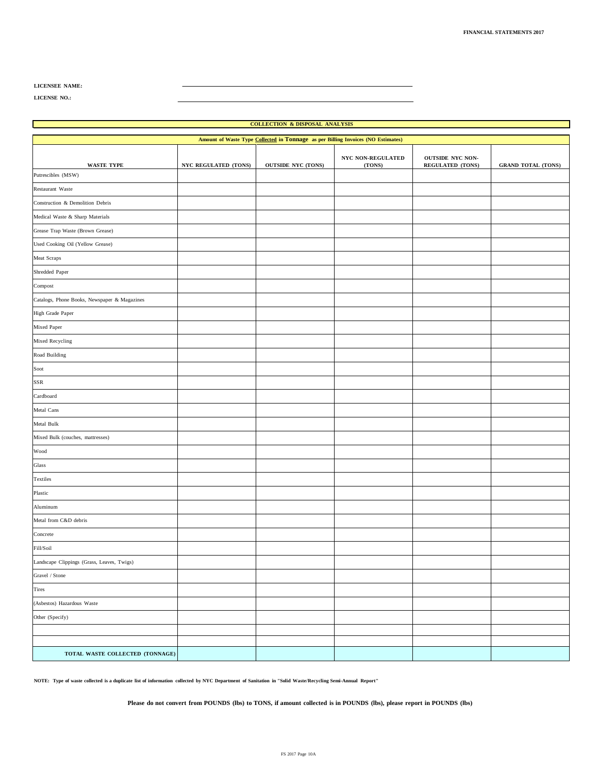**LICENSE NO.:**

#### **COLLECTION & DISPOSAL ANALYSIS Amount of Waste Type Collected in Tonnage as per Billing Invoices (NO Estimates) WASTE TYPE NYC REGULATED (TONS) OUTSIDE NYC (TONS) NYC NON-REGULATED (TONS) OUTSIDE NYC NON-REGULATED (TONS) GRAND TOTAL (TONS)** Putrescibles (MSW) Restaurant Waste Construction & Demolition Debris Medical Waste & Sharp Materials Grease Trap Waste (Brown Grease) Used Cooking Oil (Yellow Grease) Meat Scraps Shredded Paper Compost Catalogs, Phone Books, Newspaper & Magazines High Grade Paper Mixed Paper Mixed Recycling Road Building Soot SSR Cardboard Metal Cans Metal Bulk Mixed Bulk (couches, mattresses) Wood Glass Textiles Plastic Aluminum Metal from C&D debris Concrete Fill/Soil Landscape Clippings (Grass, Leaves, Twigs) Gravel / Stone Tires (Asbestos) Hazardous Waste Other (Specify) **TOTAL WASTE COLLECTED (TONNAGE)**

NOTE: Type of waste collected is a duplicate list of information collected by NYC Department of Sanitation in "Solid Waste/Recycling Semi-Annual Report"

Please do not convert from POUNDS (lbs) to TONS, if amount collected is in POUNDS (lbs), please report in POUNDS (lbs)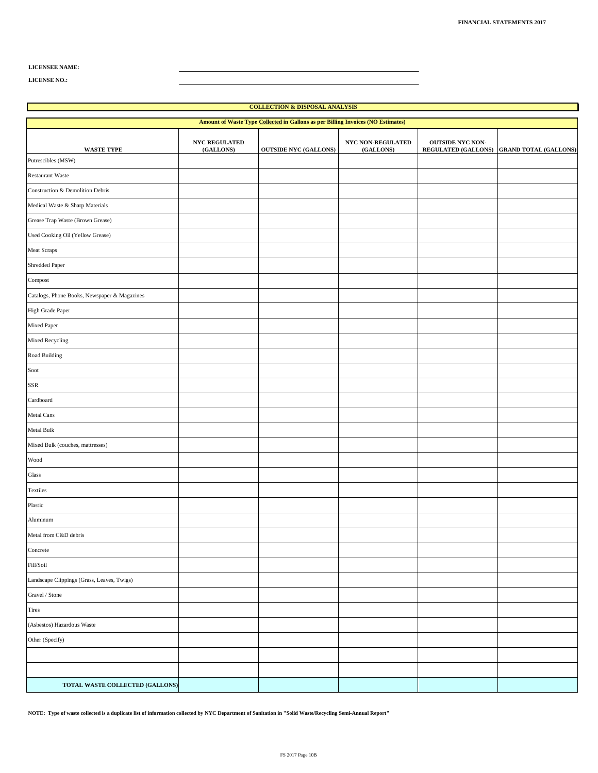**LICENSE NO.:**

| <b>COLLECTION &amp; DISPOSAL ANALYSIS</b>                                        |                                   |                              |                                |                         |                                           |  |  |
|----------------------------------------------------------------------------------|-----------------------------------|------------------------------|--------------------------------|-------------------------|-------------------------------------------|--|--|
| Amount of Waste Type Collected in Gallons as per Billing Invoices (NO Estimates) |                                   |                              |                                |                         |                                           |  |  |
| <b>WASTE TYPE</b>                                                                | <b>NYC REGULATED</b><br>(GALLONS) | <b>OUTSIDE NYC (GALLONS)</b> | NYC NON-REGULATED<br>(GALLONS) | <b>OUTSIDE NYC NON-</b> | REGULATED (GALLONS) GRAND TOTAL (GALLONS) |  |  |
| Putrescibles (MSW)                                                               |                                   |                              |                                |                         |                                           |  |  |
| <b>Restaurant Waste</b>                                                          |                                   |                              |                                |                         |                                           |  |  |
| Construction & Demolition Debris                                                 |                                   |                              |                                |                         |                                           |  |  |
| Medical Waste & Sharp Materials                                                  |                                   |                              |                                |                         |                                           |  |  |
| Grease Trap Waste (Brown Grease)                                                 |                                   |                              |                                |                         |                                           |  |  |
| Used Cooking Oil (Yellow Grease)                                                 |                                   |                              |                                |                         |                                           |  |  |
| Meat Scraps                                                                      |                                   |                              |                                |                         |                                           |  |  |
| Shredded Paper                                                                   |                                   |                              |                                |                         |                                           |  |  |
| Compost                                                                          |                                   |                              |                                |                         |                                           |  |  |
| Catalogs, Phone Books, Newspaper & Magazines                                     |                                   |                              |                                |                         |                                           |  |  |
| High Grade Paper                                                                 |                                   |                              |                                |                         |                                           |  |  |
| Mixed Paper                                                                      |                                   |                              |                                |                         |                                           |  |  |
| Mixed Recycling                                                                  |                                   |                              |                                |                         |                                           |  |  |
| Road Building                                                                    |                                   |                              |                                |                         |                                           |  |  |
| Soot                                                                             |                                   |                              |                                |                         |                                           |  |  |
| SSR                                                                              |                                   |                              |                                |                         |                                           |  |  |
| Cardboard                                                                        |                                   |                              |                                |                         |                                           |  |  |
| Metal Cans                                                                       |                                   |                              |                                |                         |                                           |  |  |
| Metal Bulk                                                                       |                                   |                              |                                |                         |                                           |  |  |
| Mixed Bulk (couches, mattresses)                                                 |                                   |                              |                                |                         |                                           |  |  |
| Wood                                                                             |                                   |                              |                                |                         |                                           |  |  |
| Glass                                                                            |                                   |                              |                                |                         |                                           |  |  |
| Textiles                                                                         |                                   |                              |                                |                         |                                           |  |  |
| Plastic                                                                          |                                   |                              |                                |                         |                                           |  |  |
| Aluminum                                                                         |                                   |                              |                                |                         |                                           |  |  |
| Metal from C&D debris                                                            |                                   |                              |                                |                         |                                           |  |  |
| Concrete                                                                         |                                   |                              |                                |                         |                                           |  |  |
| Fill/Soil                                                                        |                                   |                              |                                |                         |                                           |  |  |
| Landscape Clippings (Grass, Leaves, Twigs)                                       |                                   |                              |                                |                         |                                           |  |  |
| Gravel / Stone                                                                   |                                   |                              |                                |                         |                                           |  |  |
| Tires                                                                            |                                   |                              |                                |                         |                                           |  |  |
| (Asbestos) Hazardous Waste                                                       |                                   |                              |                                |                         |                                           |  |  |
| Other (Specify)                                                                  |                                   |                              |                                |                         |                                           |  |  |
|                                                                                  |                                   |                              |                                |                         |                                           |  |  |
|                                                                                  |                                   |                              |                                |                         |                                           |  |  |
| TOTAL WASTE COLLECTED (GALLONS)                                                  |                                   |                              |                                |                         |                                           |  |  |

**NOTE: Type of waste collected is a duplicate list of information collected by NYC Department of Sanitation in "Solid Waste/Recycling Semi-Annual Report"**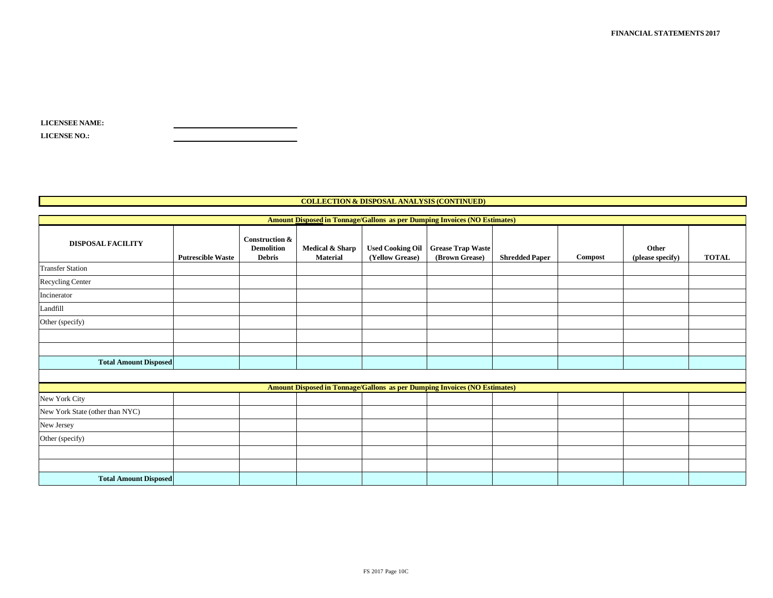| <b>LICENSEE NAME:</b> |  |
|-----------------------|--|
| <b>LICENSE NO.:</b>   |  |

#### **COLLECTION & DISPOSAL ANALYSIS (CONTINUED)**

| <b>Amount Disposed in Tonnage/Gallons as per Dumping Invoices (NO Estimates)</b> |                          |                                                      |                                    |                                            |                                                                                  |                       |         |                           |              |
|----------------------------------------------------------------------------------|--------------------------|------------------------------------------------------|------------------------------------|--------------------------------------------|----------------------------------------------------------------------------------|-----------------------|---------|---------------------------|--------------|
| <b>DISPOSAL FACILITY</b>                                                         | <b>Putrescible Waste</b> | Construction &<br><b>Demolition</b><br><b>Debris</b> | Medical & Sharp<br><b>Material</b> | <b>Used Cooking Oil</b><br>(Yellow Grease) | <b>Grease Trap Waste</b><br>(Brown Grease)                                       | <b>Shredded Paper</b> | Compost | Other<br>(please specify) | <b>TOTAL</b> |
| <b>Transfer Station</b>                                                          |                          |                                                      |                                    |                                            |                                                                                  |                       |         |                           |              |
| Recycling Center                                                                 |                          |                                                      |                                    |                                            |                                                                                  |                       |         |                           |              |
| Incinerator                                                                      |                          |                                                      |                                    |                                            |                                                                                  |                       |         |                           |              |
| Landfill                                                                         |                          |                                                      |                                    |                                            |                                                                                  |                       |         |                           |              |
| Other (specify)                                                                  |                          |                                                      |                                    |                                            |                                                                                  |                       |         |                           |              |
|                                                                                  |                          |                                                      |                                    |                                            |                                                                                  |                       |         |                           |              |
|                                                                                  |                          |                                                      |                                    |                                            |                                                                                  |                       |         |                           |              |
| <b>Total Amount Disposed</b>                                                     |                          |                                                      |                                    |                                            |                                                                                  |                       |         |                           |              |
|                                                                                  |                          |                                                      |                                    |                                            |                                                                                  |                       |         |                           |              |
|                                                                                  |                          |                                                      |                                    |                                            | <b>Amount Disposed in Tonnage/Gallons as per Dumping Invoices (NO Estimates)</b> |                       |         |                           |              |
| New York City                                                                    |                          |                                                      |                                    |                                            |                                                                                  |                       |         |                           |              |
| New York State (other than NYC)                                                  |                          |                                                      |                                    |                                            |                                                                                  |                       |         |                           |              |
| New Jersey                                                                       |                          |                                                      |                                    |                                            |                                                                                  |                       |         |                           |              |
| Other (specify)                                                                  |                          |                                                      |                                    |                                            |                                                                                  |                       |         |                           |              |
|                                                                                  |                          |                                                      |                                    |                                            |                                                                                  |                       |         |                           |              |
|                                                                                  |                          |                                                      |                                    |                                            |                                                                                  |                       |         |                           |              |
| <b>Total Amount Disposed</b>                                                     |                          |                                                      |                                    |                                            |                                                                                  |                       |         |                           |              |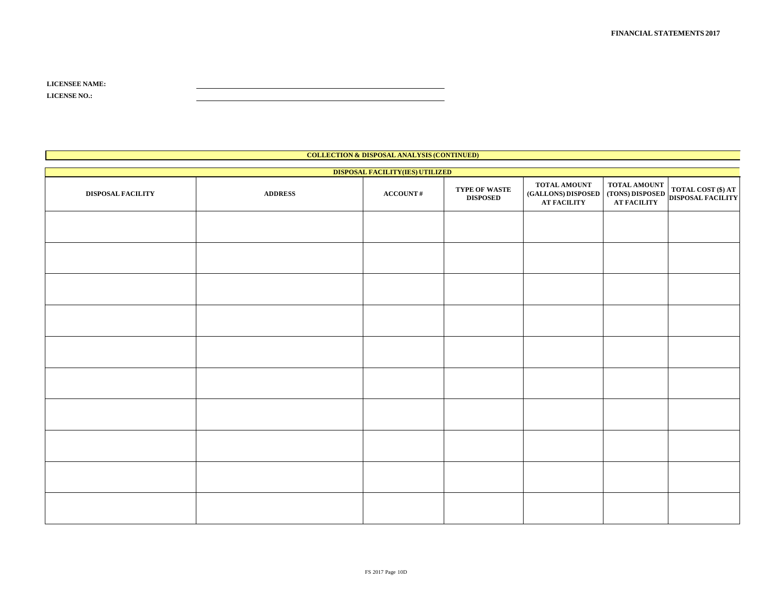| <b>LICENSEE NAME:</b> |  |
|-----------------------|--|
| <b>LICENSE NO.:</b>   |  |

| <b>COLLECTION &amp; DISPOSAL ANALYSIS (CONTINUED)</b> |                |                               |                                  |                                                                                            |                                                   |                    |  |
|-------------------------------------------------------|----------------|-------------------------------|----------------------------------|--------------------------------------------------------------------------------------------|---------------------------------------------------|--------------------|--|
| DISPOSAL FACILITY(IES) UTILIZED                       |                |                               |                                  |                                                                                            |                                                   |                    |  |
| DISPOSAL FACILITY                                     | <b>ADDRESS</b> | $\textbf{ACCOUNT}\,\text{\#}$ | TYPE OF WASTE<br><b>DISPOSED</b> | TOTAL AMOUNT<br>(GALLONS) DISPOSED (TONS) DISPOSED DISPOSAL FACILITY<br><b>AT FACILITY</b> | ${\bf TOTAL}\,{\bf AMOUNT}$<br><b>AT FACILITY</b> | TOTAL COST (\$) AT |  |
|                                                       |                |                               |                                  |                                                                                            |                                                   |                    |  |
|                                                       |                |                               |                                  |                                                                                            |                                                   |                    |  |
|                                                       |                |                               |                                  |                                                                                            |                                                   |                    |  |
|                                                       |                |                               |                                  |                                                                                            |                                                   |                    |  |
|                                                       |                |                               |                                  |                                                                                            |                                                   |                    |  |
|                                                       |                |                               |                                  |                                                                                            |                                                   |                    |  |
|                                                       |                |                               |                                  |                                                                                            |                                                   |                    |  |
|                                                       |                |                               |                                  |                                                                                            |                                                   |                    |  |
|                                                       |                |                               |                                  |                                                                                            |                                                   |                    |  |
|                                                       |                |                               |                                  |                                                                                            |                                                   |                    |  |